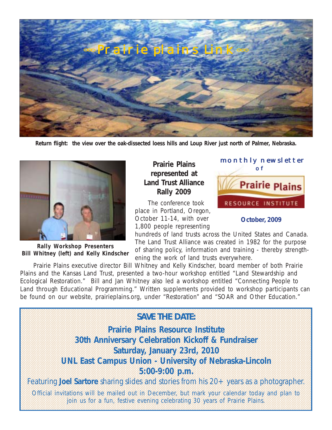

**Return flight: the view over the oak-dissected loess hills and Loup River just north of Palmer, Nebraska.**



**Rally Workshop Presenters Bill Whitney (left) and Kelly Kindscher**

## **Prairie Plains Prairie Plains represented at Land Trust Alliance Rally 2009**

 The conference took place in Portland, Oregon, October 11-14, with over 1,800 people representing



## **October, 2009**

hundreds of land trusts across the United States and Canada. The Land Trust Alliance was created in 1982 for the purpose of sharing policy, information and training - thereby strengthening the work of land trusts everywhere.

 Prairie Plains executive director Bill Whitney and Kelly Kindscher, board member of both Prairie Plains and the Kansas Land Trust, presented a two-hour workshop entitled "Land Stewardship and Ecological Restoration." Bill and Jan Whitney also led a workshop entitled "Connecting People to Land through Educational Programming." Written supplements provided to workshop participants can be found on our website, prairieplains.org, under "Restoration" and "SOAR and Other Education."